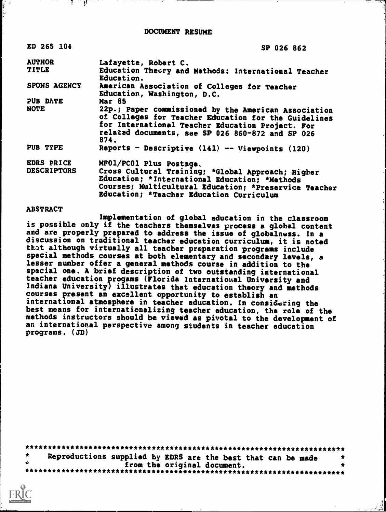DOCUMENT RESUME

| ED 265 104         | SP 026 862                                                                                                                                                                                                                   |
|--------------------|------------------------------------------------------------------------------------------------------------------------------------------------------------------------------------------------------------------------------|
| <b>AUTHOR</b>      | Lafayette, Robert C.                                                                                                                                                                                                         |
| <b>TITLE</b>       | Education Theory and Methods: International Teacher<br>Education.                                                                                                                                                            |
| SPONS AGENCY       | American Association of Colleges for Teacher<br>Education, Washington, D.C.                                                                                                                                                  |
| PUB DATE           | <b>Mar 85</b>                                                                                                                                                                                                                |
| NOTE               | 22p.; Paper commissioned by the American Association<br>of Colleges for Teacher Education for the Guidelines<br>for International Teacher Education Project. For<br>related documents, see SP 026 860-872 and SP 026<br>874. |
| PUB TYPE           | Reports - Descriptive (141) -- Viewpoints (120)                                                                                                                                                                              |
| EDRS PRICE         | MF01/PC01 Plus Postage.                                                                                                                                                                                                      |
| <b>DESCRIPTORS</b> | Cross Cultural Training; *Global Approach; Higher<br>Education; *International Education; *Methods<br>Courses; Multicultural Education; *Preservice Teacher                                                                  |

Education; \*Teacher Education Curriculum

#### ABSTRACT

त्रा

Implementation of global education in the classroom is possible only if the teachers themselves process a global content and are properly prepared to address the issue of globalnwss. In a discussion on traditional teacher education curriculum, it is noted that although virtually all teacher preparation programs include special methods courses at both elementary and secondary levels, a lesser number offer a general methods course in addition to the special one. A brief description of two outstanding international teacher education progams (Florida International University and Indiana University) illustrates that education theory and methods courses present an excellent opportunity to establish an international atmosphere in teacher education. In considering the best means for internationalizing teacher education, the role of the methods instructors should be viewed as pivotal to the development of an international perspective among students in teacher education programs. (JD)

|                    | Reproductions supplied by EDRS are the best that can be made |                             |  |  | - 12 |
|--------------------|--------------------------------------------------------------|-----------------------------|--|--|------|
| $\hat{\mathbf{z}}$ |                                                              | from the original document. |  |  |      |
|                    |                                                              |                             |  |  |      |

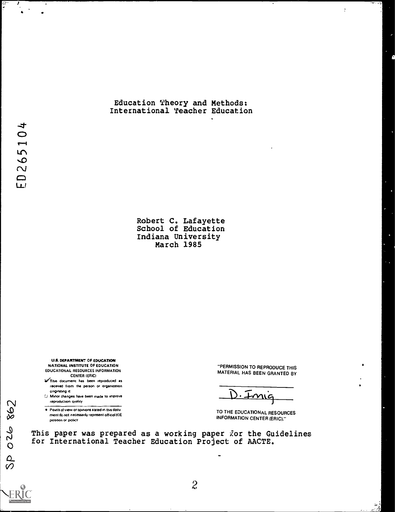#### Education Theory and Methods: International Teacher Education

Robert C. Lafayette School of Education Indiana University March 1985

U.S. DEPARTMENT OF EDUCATION NATIONAL INSTITUTE OF EDUCATION EDUCATIONAL RESOURCES INFORMATION CENTER (ERIC)

- a This document has been reproduced as received from the person or organization ongfnating rt
- reproduction quality U Minor changes have been made to improve
- reproduction quality<br>
 Points of view or opinions stated in this docu<br>
ment do not necessarily represent official KIE<br>
position or policy<br>
position or policy ment do not inecessaniy represent official NIE<br>position or policy

"PERMISSION TO REPRODUCE THIS MATERIAL HAS BEEN GRANTED BY  $\ddot{\cdot}$ 

و<br>وفيات

 $D \cdot \pm m$ ig

INFORMATION CENTER (ERIC)."

This paper was prepared as a working paper for the Guidelines 0 for International Teacher Education Project of AACTE.

026  $\Omega$  $\mathcal{O}$  and  $\mathcal{O}$ 

...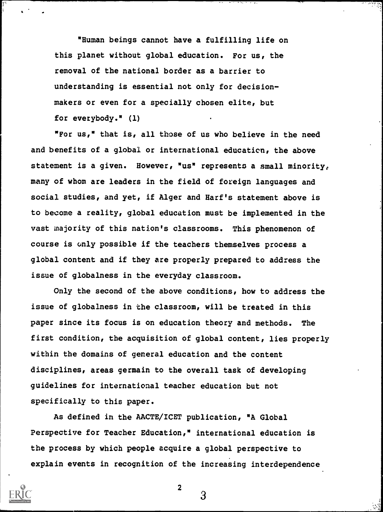"Human beings cannot have a fulfilling life on this planet without global education. For us, the removal of the national border as a barrier to understanding is essential not only for decisionmakers or even for a specially chosen elite, but for everybody." (1)

1

"For us," that is, all those of us who believe in the need and benefits of a global or international education, the above statement is a given. However, "us" represents a small minority, many of whom are leaders in the field of foreign languages and social studies, and yet, if Alger and Harf's statement above is to become a reality, global education must be implemented in the vast majority of this nation's classrooms. This phenomenon of course is only possible if the teachers themselves process a global content and if they are properly prepared to address the issue of globalness in the everyday classroom.

Only the second of the above conditions, how to address the issue of globalness in the classroom, will be treated in this paper since its focus is on education theory and methods. The first condition, the acquisition of global content, lies properly within the domains of general education and the content disciplines, areas germain to the overall task of developing guidelines for international teacher education but not specifically to this paper.

As defined in the AACTE/ICET publication, "A Global Perspective for Teacher Education," international education is the process by which people acquire a global perspective to explain events in recognition of the increasing interdependence



2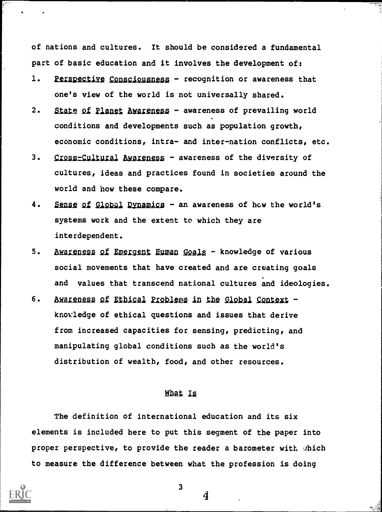of nations and cultures. It should be considered a fundamental part of basic education and it involves the development of:

- 1. Perspective Consciousness recognition or awareness that one's view of the world is not universally shared.
- 2. State of Planet Awareness awareness of prevailing world conditions and developments such as population growth, economic conditions, intra- and inter-nation conflicts, etc.
- 3. Cross-Cultural Awareness awareness of the diversity of cultures, ideas and practices found in societies around the world and how these compare.
- 4. Sense of Global Dynamics an awareness of how the world's systems work and the extent to which they are interdependent.
- 5. Awareness of Emergent Human Goals knowledge of various social movements that have created and are creating goals and values that transcend national cultures and ideologies.
- 6. Awareness of Ethical Problems in the Global Context knowledge of ethical questions and issues that derive from increased capacities for sensing, predicting, and manipulating global conditions such as the world's distribution of wealth, food, and other resources.

# Mat la

The definition of international education and its six elements is included here to put this segment of the paper into proper perspective, to provide the reader a barometer with which to measure the difference between what the profession is doing



3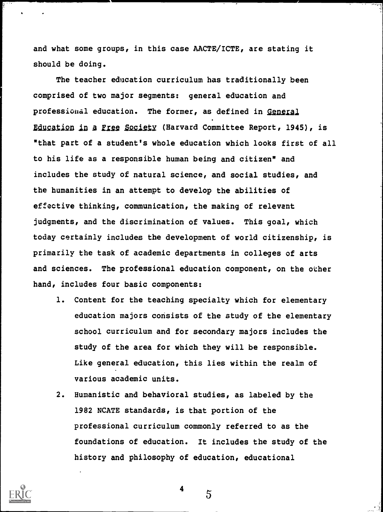and what some groups, in this case AACTE/ICTE, are stating it should be doing.

The teacher education curriculum has traditionally been comprised of two major segments: general education and professional education. The former, as defined in General Education in a Free Society (Harvard Committee Report, 1945), is "that part of a student's whole education which looks first of all to his life as a responsible human being and citizen" and includes the study of natural science, and social studies, and the humanities in an attempt to develop the abilities of effective thinking, communication, the making of relevant judgments, and the discrimination of values. This goal, which today certainly includes the development of world citizenship, is primarily the task of academic departments in colleges of arts and sciences. The professional education component, on the other hand, includes four basic components:

- 1. Content for the teaching specialty which for elementary education majors consists of the study of the elementary school curriculum and for secondary majors includes the study of the area for which they will be responsible. Like general education, this lies within the realm of various academic units.
- 2. Humanistic and behavioral studies, as labeled by the 1982 NCATE standards, is that portion of the professional curriculum commonly referred to as the foundations of education. It includes the study of the history and philosophy of education, educational



4

 $\mathcal{5}$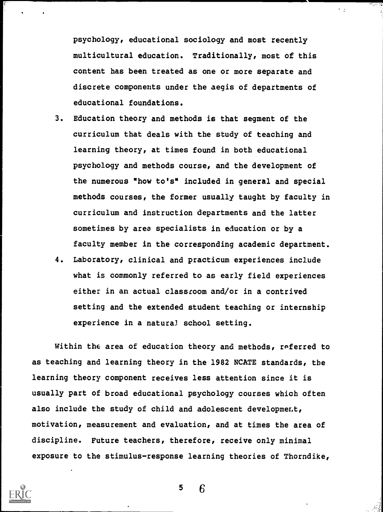psychology, educational sociology and most recently multicultural education. Traditionally, most of this content has been treated as one or more separate and discrete components under the aegis of departments of educational foundations.

 $\sim$   $\pm$ 

- 3. Education theory and methods is that segment of the curriculum that deals with the study of teaching and learning theory, at times found in both educational psychology and methods course, and the development of the numerous "how to's" included in general and special methods courses, the former usually taught by faculty in curriculum and instruction departments and the latter sometimes by area specialists in education or by a faculty member in the corresponding academic department.
- 4. Laboratory, clinical and practicum experiences include what is commonly referred to as early field experiences either in an actual classroom and/or in a contrived setting and the extended student teaching or internship experience in a natural school setting.

Within the area of education theory and methods, referred to as teaching and learning theory in the 1982 NCATE standards, the learning theory component receives less attention since it is usually part of broad educational psychology courses which often also include the study of child and adolescent development, motivation, measurement and evaluation, and at times the area of discipline. Future teachers, therefore, receive only minimal exposure to the stimulus-response learning theories of Thorndike,

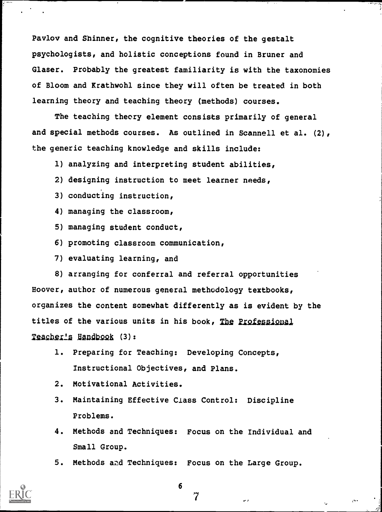Pavlov and Shinner, the cognitive theories of the gestalt psychologists, and holistic conceptions found in Bruner and Glaser. Probably the greatest familiarity is with the taxonomies of Bloom and Krathwohl since they will often be treated in both learning theory and teaching theory (methods) courses.

The teaching theory element consists primarily of general and special methods courses. As outlined in Scannell et al. (2), the generic teaching knowledge and skills include:

1) analyzing and interpreting student abilities,

- 2) designing instruction to meet learner needs,
- 3) conducting instruction,
- 4) managing the classroom,
- 5) managing student conduct,
- 6) promoting classroom communication,
- 7) evaluating learning, and

8) arranging for conferral and referral opportunities Hoover, author of numerous general methodology textbooks, organizes the content somewhat differently as is evident by the titles of the various units in his book, The Professional Teacher's Handbook (3):

- 1. Preparing for Teaching: Developing Concepts, Instructional Objectives, and Plans.
- 2. Motivational Activities.
- 3. Maintaining Effective Class Control: Discipline Problems.
- 4. Methods and Techniques: Focus on the Individual and Small Group.
- 5. Methods aid Techniques: Focus on the Large Group.



6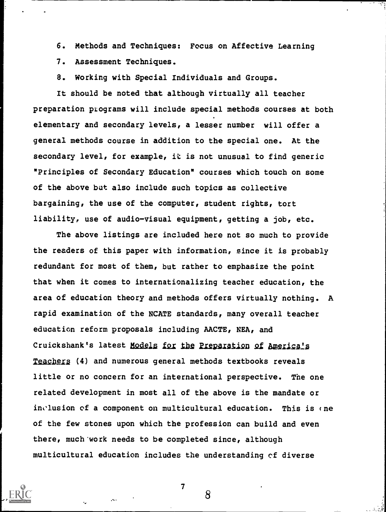6. Methods and Techniques: Focus on Affective Learning

7. Assessment Techniques.

8. Working with Special Individuals and Groups.

It should be noted that although virtually all teacher preparation programs will include special methods courses at both elementary and secondary levels, a lesser number will offer a general methods course in addition to the special one. At the secondary level, for example, it is not unusual to find generic "Principles of Secondary Education" courses which touch on some of the above but also include such topics as collective bargaining, the use of the computer, student rights, tort liability, use of audio-visual equipment, getting a job, etc.

The above listings are included here not so much to provide the readers of this paper with information, since it is probably redundant for most of them, but rather to emphasize the point that when it comes to internationalizing teacher education, the area of education theory and methods offers virtually nothing. A rapid examination of the NCATE standards, many overall teacher education reform proposals including AACTE, NEA, and Cruickshank's latest Models for the Preparation of America's Teachers (4) and numerous general methods textbooks reveals little or no concern for an international perspective. The one related development in most all of the above is the mandate or inclusion of a component on multicultural education. This is (ne of the few stones upon which the profession can build and even there, much work needs to be completed since, although multicultural education includes the understanding cf diverse



7

8

-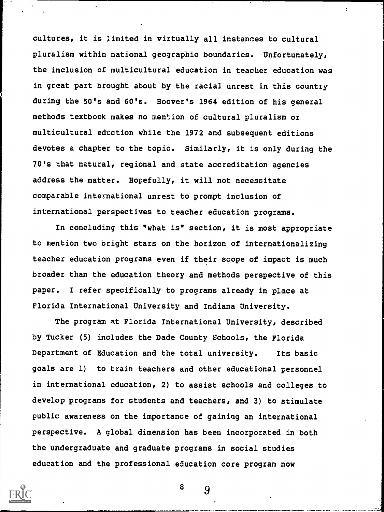cultures, it is limited in virtually all instances to cultural pluralism within national geographic boundaries. Unfortunately, the inclusion of multicultural education in teacher education was in great part brought about by the racial unrest in this country during the 50's and 60's. Hoover's 1964 edition of his general methods textbook makes no mention of cultural pluralism or multicultural eduction while the 1972 and subsequent editions devotes a chapter to the topic. Similarly, it is only during the 70's that natural, regional and state accreditation agencies address the matter. Hopefully, it will not necessitate comparable international unrest to prompt inclusion of international perspectives to teacher education programs.

 $\ddot{\cdot}$ 

In concluding this "what is" section, it is most appropriate to mention two bright stars on the horizon of internationalizing teacher education programs even if their scope of impact is much broader than the education theory and methods perspective of this paper. I refer specifically to programs already in place at Florida International University and Indiana University.

The program at Florida International University, described by Tucker (5) includes the Dade County Schools, the Florida Department of Education and the total university. Its basic goals are 1) to train teachers and other educational personnel in international education, 2) to assist schools and colleges to develop programs for students and teachers, and 3) to stimulate public awareness on the importance of gaining an international perspective. A global dimension has been incorporated in both the undergraduate and graduate programs in social studies education and the professional education core program now

![](_page_8_Picture_3.jpeg)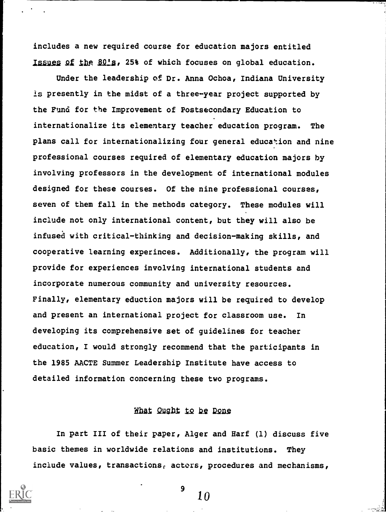includes a new required course for education majors entitled Issues of the 80's, 25% of which focuses on global education.

Under the leadership of Dr. Anna Ochoa, Indiana University is presently in the midst of a three-year project supported by the Fund for the Improvement of Postsecondary Education to internationalize its elementary teacher education program. The plans call for internationalizing four general education and nine professional courses required of elementary education majors by involving professors in the development of international modules designed for these courses. Of the nine professional courses, seven of them fall in the methods category. These modules will include not only international content, but they will also be infused with critical-thinking and decision-making skills, and cooperative learning experinces. Additionally, the program will provide for experiences involving international students and incorporate numerous community and university resources. Finally, elementary eduction majors will be required to develop and present an international project for classroom use. In developing its comprehensive set of guidelines for teacher education, I would strongly recommend that the participants in the 1985 AACTE Summer Leadership Institute have access to detailed information concerning these two programs.

# What Qught to be Done

In part III of their paper, Alger and Harf (1) discuss five basic themes in worldwide relations and institutions. They include values, transactions, actors, procedures and mechanisms,

10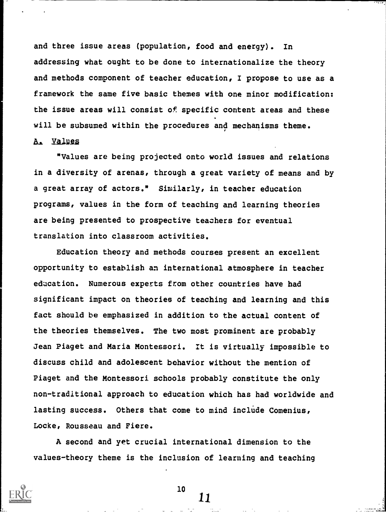and three issue areas (population, food and energy). In addressing what ought to be done to internationalize the theory and methods component of teacher education, I propose to use as a framework the same five basic themes with one minor modification: the issue areas will consist of specific content areas and these will be subsumed within the procedures and mechanisms theme.

# A. Values

"Values are being projected onto world issues and relations in a diversity of arenas, through a great variety of means and by a great array of actors." Similarly, in teacher education programs, values in the form of teaching and learning theories are being presented to prospective teachers for eventual translation into classroom activities.

Education theory and methods courses present an excellent opportunity to establish an international atmosphere in teacher education. Numerous experts from other countries have had significant impact on theories of teaching and learning and this fact should be emphasized in addition to the actual content of the theories themselves. The two most prominent are probably Jean Piaget and Maria Montessori. It is virtually impossible to discuss child and adolescent behavior without the mention of Piaget and the Montessori schools probably constitute the only non-traditional approach to education which has had worldwide and lasting success. Others that come to mind include Comenius, Locke, Rousseau and Fiere.

A second and yet crucial international dimension to the values-theory theme is the inclusion of learning and teaching

![](_page_10_Picture_5.jpeg)

10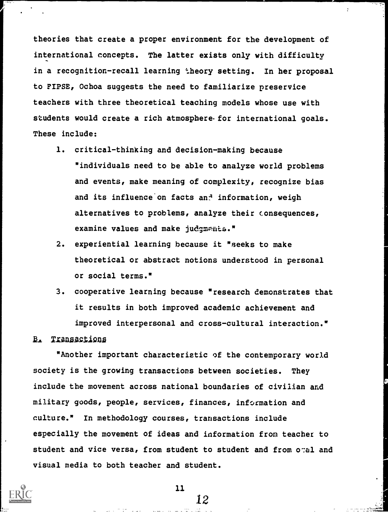theories that create a proper environment for the development of international concepts. The latter exists only with difficulty in a recognition-recall learning theory setting. In her proposal to FIPSE, Ochoa suggests the need to familiarize preservice teachers with three theoretical teaching models whose use with students would create a rich atmosphere for international goals. These include:

 $\ddot{\cdot}$ 

- 1. critical-thinking and decision-making because "individuals need to be able to analyze world problems and events, make meaning of complexity, recognize bias and its influence on facts an<sup>4</sup> information, weigh alternatives to problems, analyze their consequences, examine values and make judgments."
- 2. experiential learning because it "seeks to make theoretical or abstract notions understood in personal or social terms."
- 3. cooperative learning because "research demonstrates that it results in both improved academic achievement and improved interpersonal and cross-cultural interaction."

#### B. Transactions

"Another important characteristic of the contemporary world society is the growing transactions between societies. They include the movement across national boundaries of civilian and military goods, people, services, finances, information and culture." In methodology courses, transactions include especially the movement of ideas and information from teacher to student and vice versa, from student to student and from otal and visual media to both teacher and student.

![](_page_11_Picture_6.jpeg)

11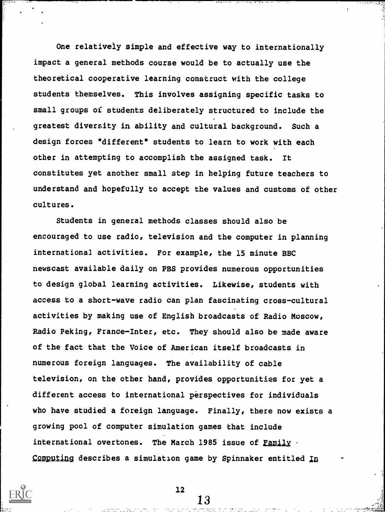One relatively simple and effective way to internationally impact a general methods course would be to actually use the theoretical cooperative learning construct with the college students themselves. This involves assigning specific tasks to small groups of students deliberately structured to include the greatest diversity in ability and cultural background. Such a design forces "different" students to learn to work with each other in attempting to accomplish the assigned task. It constitutes yet another small step in helping future teachers to understand and hopefully to accept the values and customs of other cultures.

Students in general methods classes should also be encouraged to use radio, television and the computer in planning international activities. For example, the 15 minute BBC newscast available daily on PBS provides numerous opportunities to design global learning activities. Likewise, students with access to a short-wave radio can plan fascinating cross-cultural activities by making use of English broadcasts of Radio Moscow, Radio Peking, France-Inter, etc. They should also be made aware of the fact that the Voice of American itself broadcasts in numerous foreign languages. The availability of cable television, on the other hand, provides opportunities for yet a different access to international perspectives for individuals who have studied a foreign language. Finally, there now exists a growing pool of computer simulation games that include international overtones. The March 1985 issue of <u>Family</u> . Computing describes a simulation game by Spinnaker entitled In

![](_page_12_Picture_2.jpeg)

12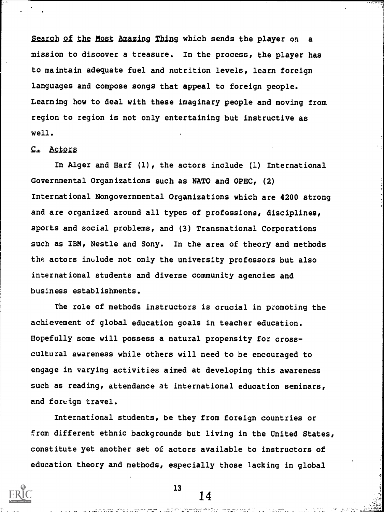Search of the Most Amazing Thing which sends the player on a mission to discover a treasure. In the process, the player has to maintain adequate fuel and nutrition levels, learn foreign languages and compose songs that appeal to foreign people. Learning how to deal with these imaginary people and moving from region to region is not only entertaining but instructive as well.

# C. Actors

In Alger and Harf (1), the actors include (1) International Governmental Organizations such as NATO and OPEC, (2) International Nongovernmental Organizations which are 4200 strong and are organized around all types of professions, disciplines, sports and social problems, and (3) Transnational Corporations such as IBM, Nestle and Sony. In the area of theory and methods the actors include not only the university professors but also international students and diverse community agencies and business establishments.

The role of methods instructors is crucial in promoting the achievement of global education goals in teacher education. Hopefully some will possess a natural propensity for crosscultural awareness while others will need to be encouraged to engage in varying activities aimed at developing this awareness such as reading, attendance at international education seminars, and foreign travel.

International students, be they from foreign countries or from different ethnic backgrounds but living in the United States, constitute yet another set of actors available to instructors of education theory and methods, especially those lacking in global

![](_page_13_Picture_5.jpeg)

 $13$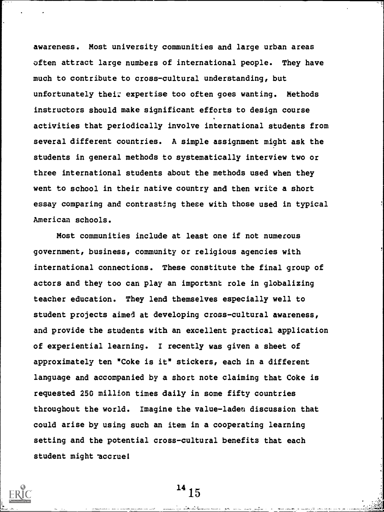awareness. Most university communities and large urban areas often attract large numbers of international people. They have much to contribute to cross-cultural understanding, but unfortunately their expertise too often goes wanting. Methods instructors should make significant efforts to design course activities that periodically involve international students from several different countries. A simple assignment might ask the students in general methods to systematically interview two or three international students about the methods used when they went to school in their native country and then write a short essay comparing and contrasting these with those used in typical American schools.

Most communities include at least one if not numerous government, business, community or religious agencies with international connections. These constitute the final group of actors and they too can play an important role in globalizing teacher education. They lend themselves especially well to student projects aimed at developing cross-cultural awareness, and provide the students with an excellent practical application of experiential learning. I recently was given a sheet of approximately ten "Coke is it" stickers, each in a different language and accompanied by a short note claiming that Coke is requested 250 million times daily in some fifty countries throughout the world. Imagine the value-laden discussion that could arise by using such an item in a cooperating learning setting and the potential cross-cultural benefits that each student might accrue!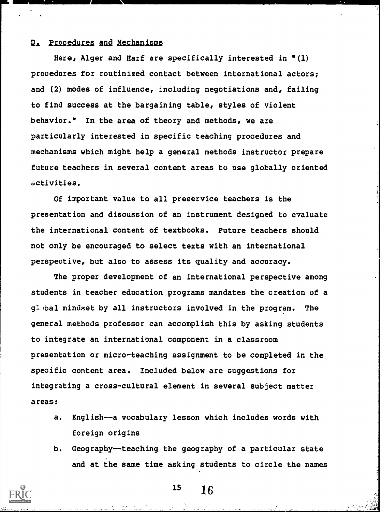#### D. Procedures and Mechanisms

Here, Alger and Harf are specifically interested in "(1) procedures for routinized contact between international actors; and (2) modes of influence, including negotiations and, failing to find success at the bargaining table, styles of violent behavior." In the area of theory and methods, we are particularly interested in specific teaching procedures and mechanisms which might help a general methods instructor prepare future teachers in several content areas to use globally oriented activities.

Of important value to all preservice teachers is the presentation and discussion of an instrument designed to evaluate the international content of textbooks. Future teachers should not only be encouraged to select texts with an international perspective, but also to assess its quality and accuracy.

The proper development of an international perspective among students in teacher education programs mandates the creation of a gl bal mindset by all instructors involved in the program. The general methods professor can accomplish this by asking students to integrate an international component in a classroom presentation or micro-teaching assignment to be completed in the specific content area. Included below are suggestions for integrating a cross-cultural element in several subject matter areas:

- a. English--a vocabulary lesson which includes words with foreign origins
- b. Geography--teaching the geography of a particular state and at the same time asking students to circle the names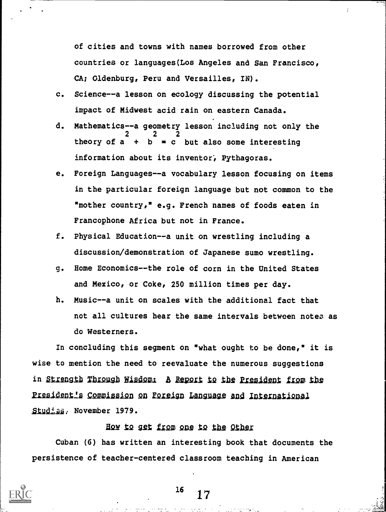of cities and towns with names borrowed from other countries or languages(Los Angeles and San Francisco, CA; Oldenburg, Peru and Versailles, IN).

- c. Science--a lesson on ecology discussing the potential impact of Midwest acid rain on eastern Canada.
- d. Mathematics--a geometry lesson including not only the 2 2 2 theory of  $a + b = c$  but also some interesting information about its inventor, Pythagoras.
- e. Foreign Languages--a vocabulary lesson focusing on items in the particular foreign language but not common to the "mother country," e.g. French names of foods eaten in Francophone Africa but not in France.
- f. Physical Education--a unit on wrestling including a discussion/demonstration of Japanese sumo wrestling.
- g. Home Economics--the role of corn in the United States and Mexico, or Coke, 250 million times per day.
- h. Music--a unit on scales with the additional fact that not all cultures hear the same intervals between notes as do Westerners.

In concluding this segment on "what ought to be done," it is wise to mention the need to reevaluate the numerous suggestions in Strength Through Wisdom: A Report to the President from the President's Commission on Foreign Language and International Studies, November 1979.

#### How to get from one to the Other

Cuban (6) has written an interesting book that documents the persistence of teacher-centered classroom teaching in American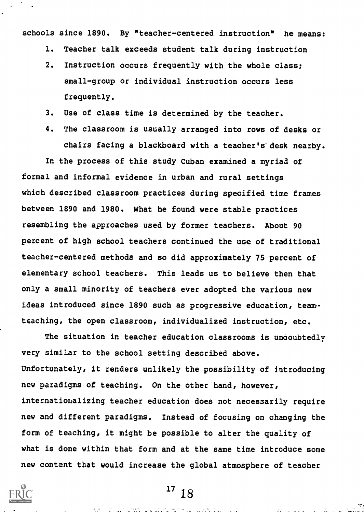schools since 1890. By "teacher-centered instruction" he means:

- 1. Teacher talk exceeds student talk during instruction
- 2. Instruction occurs frequently with the whole class; small-group or individual instruction occurs less frequently.
- 3. Use of class time is determined by the teacher.
- 4. The classroom is usually arranged into rows of desks or chairs facing a blackboard with a teacher's desk nearby.

In the process of this study Cuban examined a myriad of formal and informal evidence in urban and rural settings which described classroom practices during specified time frames between 1890 and 1980. What he found were stable practices resembling the approaches used by former teachers. About 90 percent of high school teachers continued the use of traditional teacher-centered methods and so did approximately 75 percent of elementary school teachers. This leads us to believe then that only a small minority of teachers ever adopted the various new ideas introduced since 1890 such as progressive education, team teaching, the open classroom, individualized instruction, etc.

The situation in teacher education classrooms is undoubtedly very similar to the school setting described above. Unfortunately, it renders unlikely the possibility of introducing new paradigms of teaching. On the other hand, however, internationalizing teacher education does not necessarily require new and different paradigms. Instead of focusing on changing the form of teaching, it might be possible to alter the quality of what is done within that form and at the same time introduce some new content that would increase the global atmosphere of teacher

![](_page_17_Picture_7.jpeg)

 $1718$ 

na series de la componente de la componente de la componente de la componente de la componente de la component<br>La componente de la componente de la componente de la componente de la componente de la componente de la compo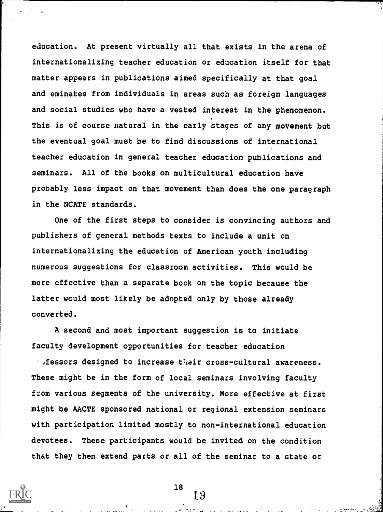education. At present virtually all that exists in the arena of internationalizing teacher education or education itself for that matter appears in publications aimed specifically at that goal and eminates from individuals in areas such as foreign languages and social studies who have a vested interest in the phenomenon. This is of course natural in the early stages of any movement but the eventual goal must be to find discussions of international teacher education in general teacher education publications and seminars. All of the books on multicultural education have probably less impact on that movement than does the one paragraph in the NCATE standards.

One of the first steps to consider is convincing authors and publishers of general methods texts to include a unit on internationalizing the education of American youth including numerous suggestions for classroom activities. This would be more effective than a separate book on the topic because the latter would most likely be adopted only by those already converted.

A second and most important suggestion is to initiate faculty development opportunities for teacher education

 $\cdot$  *fessors designed to increase their cross-cultural awareness.* These might be in the form of local seminars involving faculty from various segments of the university. More effective at first might be AACTE sponsored national or regional extension seminars with participation limited mostly to non-international education devotees. These participants would be invited on the condition that they then extend parts or all of the seminar to a state or

18

19

an an Indonesia.<br>An tana an Indonesia an Indonesia.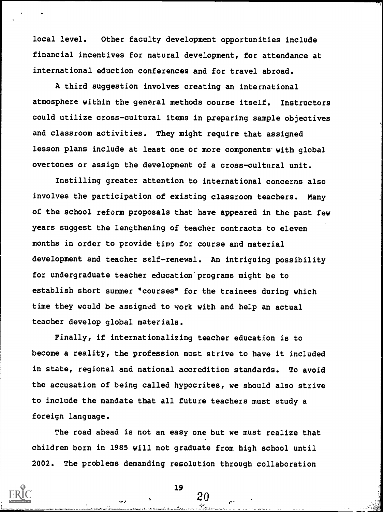local level. Other faculty development opportunities include financial incentives for natural development, for attendance at international eduction conferences and for travel abroad.

A third suggestion involves creating an international atmosphere within the general methods course itself. Instructors could utilize cross-cultural items in preparing sample objectives and classroom activities. They might require that assigned lesson plans include at least one or more components with global overtones or assign the development of a cross-cultural unit.

Instilling greater attention to international concerns also involves the participation of existing classroom teachers. Many of the school reform proposals that have appeared in the past few years suggest the lengthening of teacher contracts to eleven months in order to provide time for course and material development and teacher self-renewal. An intriguing possibility for undergraduate teacher education programs might be to establish short summer "courses" for the trainees during which time they would be assigned to work with and help an actual teacher develop global materials.

Finally, if internationalizing teacher education is to become a reality, the profession must strive to have it included in state, regional and national accredition standards. To avoid the accusation of being called hypocrites, we should also strive to include the mandate that all future teachers must study a foreign language.

The road ahead is not an easy one but we must realize that children born in 1985 will not graduate from high school until 2002. The problems demanding resolution through collaboration

19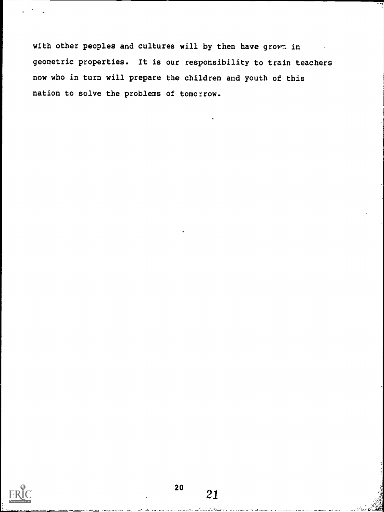with other peoples and cultures will by then have grown in geometric properties. It is our responsibility to train teachers now who in turn will prepare the children and youth of this nation to solve the problems of tomorrow.

![](_page_20_Picture_1.jpeg)